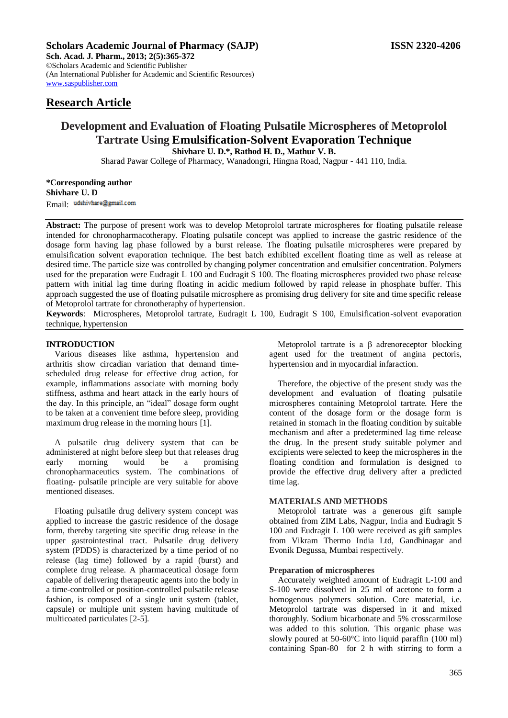**Sch. Acad. J. Pharm., 2013; 2(5):365-372** ©Scholars Academic and Scientific Publisher (An International Publisher for Academic and Scientific Resources) [www.saspublisher.com](http://www.saspublisher.com/) 

# **Research Article**

# **Development and Evaluation of Floating Pulsatile Microspheres of Metoprolol Tartrate Using Emulsification-Solvent Evaporation Technique Shivhare U. D.\*, Rathod H. D., Mathur V. B.**

Sharad Pawar College of Pharmacy, Wanadongri, Hingna Road, Nagpur - 441 110, India.

**\*Corresponding author Shivhare U. D** Email: udshivhare@gmail.com

**Abstract:** The purpose of present work was to develop Metoprolol tartrate microspheres for floating pulsatile release intended for chronopharmacotherapy. Floating pulsatile concept was applied to increase the gastric residence of the dosage form having lag phase followed by a burst release. The floating pulsatile microspheres were prepared by emulsification solvent evaporation technique. The best batch exhibited excellent floating time as well as release at desired time. The particle size was controlled by changing polymer concentration and emulsifier concentration. Polymers used for the preparation were Eudragit L 100 and Eudragit S 100. The floating microspheres provided two phase release pattern with initial lag time during floating in acidic medium followed by rapid release in phosphate buffer. This approach suggested the use of floating pulsatile microsphere as promising drug delivery for site and time specific release of Metoprolol tartrate for chronotheraphy of hypertension.

**Keywords**: Microspheres, Metoprolol tartrate, Eudragit L 100, Eudragit S 100, Emulsification-solvent evaporation technique, hypertension

#### **INTRODUCTION**

Various diseases like asthma, hypertension and arthritis show circadian variation that demand timescheduled drug release for effective drug action, for example, inflammations associate with morning body stiffness, asthma and heart attack in the early hours of the day. In this principle, an "ideal" dosage form ought to be taken at a convenient time before sleep, providing maximum drug release in the morning hours [1].

A pulsatile drug delivery system that can be administered at night before sleep but that releases drug early morning would be a promising chronopharmaceutics system. The combinations of floating- pulsatile principle are very suitable for above mentioned diseases.

Floating pulsatile drug delivery system concept was applied to increase the gastric residence of the dosage form, thereby targeting site specific drug release in the upper gastrointestinal tract. Pulsatile drug delivery system (PDDS) is characterized by a time period of no release (lag time) followed by a rapid (burst) and complete drug release. A pharmaceutical dosage form capable of delivering therapeutic agents into the body in a time-controlled or position-controlled pulsatile release fashion, is composed of a single unit system (tablet, capsule) or multiple unit system having multitude of multicoated particulates [2-5].

Metoprolol tartrate is a β adrenoreceptor blocking agent used for the treatment of angina pectoris, hypertension and in myocardial infaraction.

Therefore, the objective of the present study was the development and evaluation of floating pulsatile microspheres containing Metoprolol tartrate. Here the content of the dosage form or the dosage form is retained in stomach in the floating condition by suitable mechanism and after a predetermined lag time release the drug. In the present study suitable polymer and excipients were selected to keep the microspheres in the floating condition and formulation is designed to provide the effective drug delivery after a predicted time lag.

## **MATERIALS AND METHODS**

Metoprolol tartrate was a generous gift sample obtained from ZIM Labs, Nagpur, India and Eudragit S 100 and Eudragit L 100 were received as gift samples from Vikram Thermo India Ltd, Gandhinagar and Evonik Degussa, Mumbai respectively.

#### **Preparation of microspheres**

Accurately weighted amount of Eudragit L-100 and S-100 were dissolved in 25 ml of acetone to form a homogenous polymers solution. Core material, i.e. Metoprolol tartrate was dispersed in it and mixed thoroughly. Sodium bicarbonate and 5% crosscarmilose was added to this solution. This organic phase was slowly poured at 50-60°C into liquid paraffin (100 ml) containing Span-80 for 2 h with stirring to form a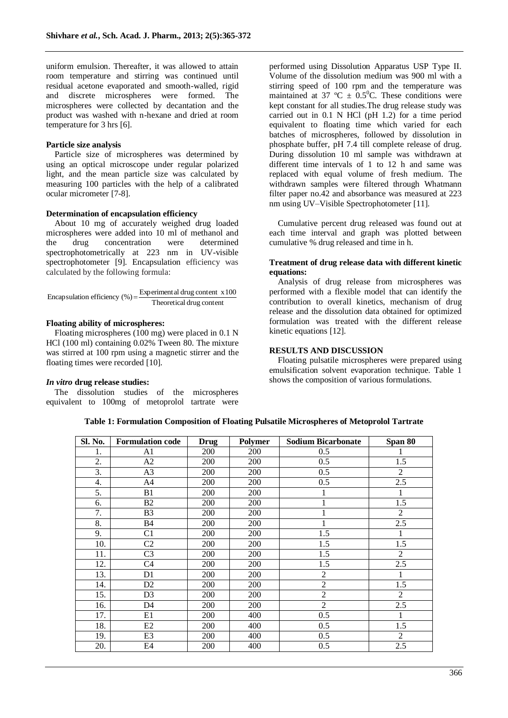uniform emulsion. Thereafter, it was allowed to attain room temperature and stirring was continued until residual acetone evaporated and smooth-walled, rigid and discrete microspheres were formed. The microspheres were collected by decantation and the product was washed with n-hexane and dried at room temperature for 3 hrs [6].

#### **Particle size analysis**

Particle size of microspheres was determined by using an optical microscope under regular polarized light, and the mean particle size was calculated by measuring 100 particles with the help of a calibrated ocular micrometer [7-8].

#### **Determination of encapsulation efficiency**

About 10 mg of accurately weighed drug loaded microspheres were added into 10 ml of methanol and the drug concentration were determined spectrophotometrically at 223 nm in UV-visible spectrophotometer [9]. Encapsulation efficiency was calculated by the following formula:

Encapsulation efficiency (
$$
\%
$$
) =  $\frac{\text{Experiment al drug content } x 100}{\text{Theoretical drug content}}$ 

#### **Floating ability of microspheres:**

Floating microspheres (100 mg) were placed in 0.1 N HCl (100 ml) containing 0.02% Tween 80. The mixture was stirred at 100 rpm using a magnetic stirrer and the floating times were recorded [10].

#### *In vitro* **drug release studies:**

The dissolution studies of the microspheres equivalent to 100mg of metoprolol tartrate were

performed using Dissolution Apparatus USP Type II. Volume of the dissolution medium was 900 ml with a stirring speed of 100 rpm and the temperature was maintained at 37 °C  $\pm$  0.5°C. These conditions were kept constant for all studies.The drug release study was carried out in 0.1 N HCl (pH 1.2) for a time period equivalent to floating time which varied for each batches of microspheres, followed by dissolution in phosphate buffer, pH 7.4 till complete release of drug. During dissolution 10 ml sample was withdrawn at different time intervals of 1 to 12 h and same was replaced with equal volume of fresh medium. The withdrawn samples were filtered through Whatmann filter paper no.42 and absorbance was measured at 223 nm using UV–Visible Spectrophotometer [11].

Cumulative percent drug released was found out at each time interval and graph was plotted between cumulative % drug released and time in h.

#### **Treatment of drug release data with different kinetic equations:**

Analysis of drug release from microspheres was performed with a flexible model that can identify the contribution to overall kinetics, mechanism of drug release and the dissolution data obtained for optimized formulation was treated with the different release kinetic equations [12].

### **RESULTS AND DISCUSSION**

Floating pulsatile microspheres were prepared using emulsification solvent evaporation technique. Table 1 shows the composition of various formulations.

**Table 1: Formulation Composition of Floating Pulsatile Microspheres of Metoprolol Tartrate**

| Sl. No. | <b>Formulation code</b> | <b>Drug</b> | Polymer | <b>Sodium Bicarbonate</b> | Span 80        |
|---------|-------------------------|-------------|---------|---------------------------|----------------|
| 1.      | A <sub>1</sub>          | 200         | 200     | 0.5                       | 1              |
| 2.      | A2                      | 200         | 200     | 0.5                       | 1.5            |
| 3.      | A3                      | 200         | 200     | 0.5                       | 2              |
| 4.      | A <sub>4</sub>          | 200         | 200     | 0.5                       | 2.5            |
| 5.      | B1                      | 200         | 200     | $\mathbf{1}$              | $\mathbf{1}$   |
| 6.      | B2                      | 200         | 200     | 1                         | 1.5            |
| 7.      | B <sub>3</sub>          | 200         | 200     | 1                         | 2              |
| 8.      | <b>B4</b>               | 200         | 200     | $\mathbf{1}$              | 2.5            |
| 9.      | C1                      | 200         | 200     | 1.5                       | $\mathbf{1}$   |
| 10.     | C <sub>2</sub>          | <b>200</b>  | 200     | 1.5                       | 1.5            |
| 11.     | C <sub>3</sub>          | 200         | 200     | 1.5                       | $\overline{2}$ |
| 12.     | C <sub>4</sub>          | 200         | 200     | 1.5                       | 2.5            |
| 13.     | D1                      | 200         | 200     | $\overline{2}$            | $\mathbf{1}$   |
| 14.     | D <sub>2</sub>          | <b>200</b>  | 200     | $\overline{2}$            | 1.5            |
| 15.     | D <sub>3</sub>          | 200         | 200     | $\overline{2}$            | $\overline{2}$ |
| 16.     | D <sub>4</sub>          | 200         | 200     | $\overline{2}$            | 2.5            |
| 17.     | E1                      | 200         | 400     | 0.5                       | $\mathbf{1}$   |
| 18.     | E2                      | <b>200</b>  | 400     | 0.5                       | 1.5            |
| 19.     | E3                      | 200         | 400     | 0.5                       | $\overline{2}$ |
| 20.     | E <sub>4</sub>          | <b>200</b>  | 400     | 0.5                       | 2.5            |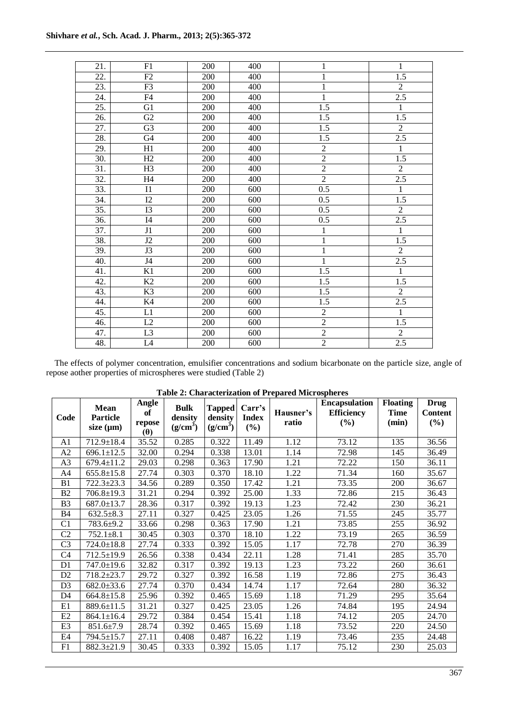| 21.               | F1                       | 200 | 400 |                | 1                |
|-------------------|--------------------------|-----|-----|----------------|------------------|
| 22.               | F2                       | 200 | 400 | 1              | $\overline{1.5}$ |
| 23.               | F3                       | 200 | 400 | $\mathbf 1$    | $\overline{2}$   |
| 24.               | F4                       | 200 | 400 | $\mathbf{1}$   | $2.\overline{5}$ |
| 25.               | G <sub>1</sub>           | 200 | 400 | 1.5            | $\mathbf{1}$     |
| 26.               | $\overline{G2}$          | 200 | 400 | 1.5            | $\overline{1.5}$ |
| 27.               | G <sub>3</sub>           | 200 | 400 | 1.5            | $\overline{2}$   |
| 28.               | G <sub>4</sub>           | 200 | 400 | 1.5            | 2.5              |
| 29.               | $\overline{H}1$          | 200 | 400 | $\overline{2}$ | $\overline{1}$   |
| 30.               | H2                       | 200 | 400 | $\overline{2}$ | 1.5              |
| 31.               | H <sub>3</sub>           | 200 | 400 | $\overline{2}$ | $\boldsymbol{2}$ |
| $\overline{32}$ . | H <sub>4</sub>           | 200 | 400 | $\overline{2}$ | 2.5              |
| 33.               | $\mathbf{I}1$            | 200 | 600 | 0.5            | $\overline{1}$   |
| 34.               | I2                       | 200 | 600 | 0.5            | $\overline{1.5}$ |
| $\overline{35}$ . | $\overline{13}$          | 200 | 600 | 0.5            | $\overline{2}$   |
| 36.               | I4                       | 200 | 600 | 0.5            | 2.5              |
| $\overline{37}$ . | $\mathbf{J}1$            | 200 | 600 | $\mathbf{1}$   | $\mathbf{1}$     |
| 38.               | J2                       | 200 | 600 | $\overline{1}$ | 1.5              |
| 39.               | J3                       | 200 | 600 | $\mathbf{1}$   | $\overline{2}$   |
| 40.               | $\ensuremath{\text{J4}}$ | 200 | 600 | $\mathbf{1}$   | $\overline{2.5}$ |
| 41.               | K1                       | 200 | 600 | 1.5            | $\mathbf{1}$     |
| 42.               | K2                       | 200 | 600 | 1.5            | 1.5              |
| 43.               | K3                       | 200 | 600 | 1.5            | $\overline{2}$   |
| 44.               | K4                       | 200 | 600 | 1.5            | 2.5              |
| 45.               | L1                       | 200 | 600 | $\sqrt{2}$     | $\mathbf{1}$     |
| 46.               | L2                       | 200 | 600 | $\overline{2}$ | $1.5\,$          |
| 47.               | L <sub>3</sub>           | 200 | 600 | $\overline{2}$ | $\overline{2}$   |
| 48.               | L4                       | 200 | 600 | $\overline{2}$ | 2.5              |

The effects of polymer concentration, emulsifier concentrations and sodium bicarbonate on the particle size, angle of repose aother properties of microspheres were studied (Table 2)

| Code           | Mean<br>Particle<br>size $(\mu m)$ | Angle<br>of<br>repose | <b>Bulk</b><br>density<br>$(g/cm^3)$ | <b>Tapped</b><br>density<br>$(g/cm^3)$ | Carr's<br><b>Index</b><br>$(\%)$ | Hausner's<br>ratio | <b>Encapsulation</b><br><b>Efficiency</b><br>(%) | <b>Floating</b><br><b>Time</b><br>(min) | <b>Drug</b><br><b>Content</b><br>$(\%)$ |
|----------------|------------------------------------|-----------------------|--------------------------------------|----------------------------------------|----------------------------------|--------------------|--------------------------------------------------|-----------------------------------------|-----------------------------------------|
|                |                                    | $(\theta)$            |                                      |                                        |                                  |                    |                                                  |                                         |                                         |
| A1             | 712.9±18.4                         | 35.52                 | 0.285                                | 0.322                                  | 11.49                            | 1.12               | 73.12                                            | 135                                     | 36.56                                   |
| A2             | $696.1 \pm 12.5$                   | 32.00                 | 0.294                                | 0.338                                  | 13.01                            | 1.14               | 72.98                                            | 145                                     | 36.49                                   |
| A3             | $679.4 \pm 11.2$                   | 29.03                 | 0.298                                | 0.363                                  | 17.90                            | 1.21               | 72.22                                            | 150                                     | 36.11                                   |
| A4             | $655.8 \pm 15.8$                   | 27.74                 | 0.303                                | 0.370                                  | 18.10                            | 1.22               | 71.34                                            | 160                                     | 35.67                                   |
| B1             | $722.3 \pm 23.3$                   | 34.56                 | 0.289                                | 0.350                                  | 17.42                            | 1.21               | 73.35                                            | 200                                     | 36.67                                   |
| B <sub>2</sub> | $706.8 \pm 19.3$                   | 31.21                 | 0.294                                | 0.392                                  | 25.00                            | 1.33               | 72.86                                            | 215                                     | 36.43                                   |
| B <sub>3</sub> | $687.0 \pm 13.7$                   | 28.36                 | 0.317                                | 0.392                                  | 19.13                            | 1.23               | 72.42                                            | 230                                     | 36.21                                   |
| <b>B4</b>      | $632.5 \pm 8.3$                    | 27.11                 | 0.327                                | 0.425                                  | 23.05                            | 1.26               | 71.55                                            | 245                                     | 35.77                                   |
| C <sub>1</sub> | 783.6±9.2                          | 33.66                 | 0.298                                | 0.363                                  | 17.90                            | 1.21               | 73.85                                            | 255                                     | 36.92                                   |
| C <sub>2</sub> | $752.1 \pm 8.1$                    | 30.45                 | 0.303                                | 0.370                                  | 18.10                            | 1.22               | 73.19                                            | 265                                     | 36.59                                   |
| C <sub>3</sub> | $724.0 \pm 18.8$                   | 27.74                 | 0.333                                | 0.392                                  | 15.05                            | 1.17               | 72.78                                            | 270                                     | 36.39                                   |
| C <sub>4</sub> | 712.5±19.9                         | 26.56                 | 0.338                                | 0.434                                  | 22.11                            | 1.28               | 71.41                                            | 285                                     | 35.70                                   |
| D <sub>1</sub> | 747.0±19.6                         | 32.82                 | 0.317                                | 0.392                                  | 19.13                            | 1.23               | 73.22                                            | 260                                     | 36.61                                   |
| D <sub>2</sub> | $718.2 \pm 23.7$                   | 29.72                 | 0.327                                | 0.392                                  | 16.58                            | 1.19               | 72.86                                            | 275                                     | 36.43                                   |
| D <sub>3</sub> | $682.0 \pm 33.6$                   | 27.74                 | 0.370                                | 0.434                                  | 14.74                            | 1.17               | 72.64                                            | 280                                     | 36.32                                   |
| D <sub>4</sub> | $664.8 \pm 15.8$                   | 25.96                 | 0.392                                | 0.465                                  | 15.69                            | 1.18               | 71.29                                            | 295                                     | 35.64                                   |
| E1             | 889.6±11.5                         | 31.21                 | 0.327                                | 0.425                                  | 23.05                            | 1.26               | 74.84                                            | 195                                     | 24.94                                   |
| E2             | $864.1 \pm 16.4$                   | 29.72                 | 0.384                                | 0.454                                  | 15.41                            | 1.18               | 74.12                                            | 205                                     | 24.70                                   |
| E <sub>3</sub> | 851.6±7.9                          | 28.74                 | 0.392                                | 0.465                                  | 15.69                            | 1.18               | 73.52                                            | 220                                     | 24.50                                   |
| E4             | $794.5 \pm 15.7$                   | 27.11                 | 0.408                                | 0.487                                  | 16.22                            | 1.19               | 73.46                                            | 235                                     | 24.48                                   |
| F1             | $882.3 \pm 21.9$                   | 30.45                 | 0.333                                | 0.392                                  | 15.05                            | 1.17               | 75.12                                            | 230                                     | 25.03                                   |

**Table 2: Characterization of Prepared Microspheres**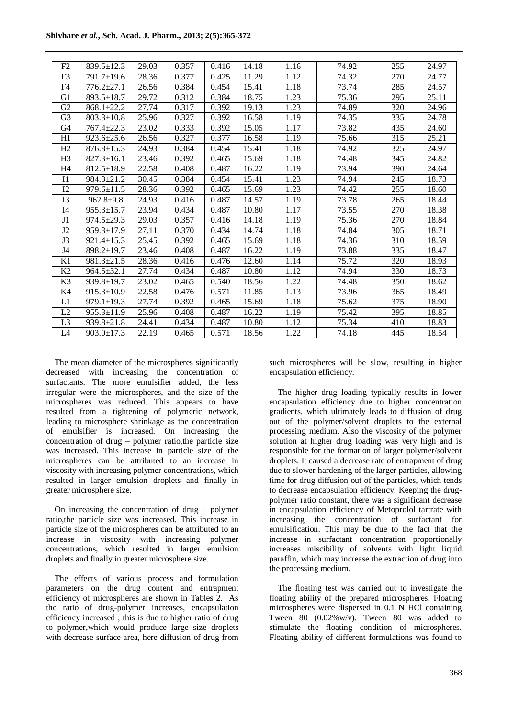| F <sub>2</sub> | $839.5 \pm 12.3$ | 29.03 | 0.357 | 0.416 | 14.18 | 1.16 | 74.92 | 255 | 24.97 |
|----------------|------------------|-------|-------|-------|-------|------|-------|-----|-------|
| F <sub>3</sub> | $791.7 \pm 19.6$ | 28.36 | 0.377 | 0.425 | 11.29 | 1.12 | 74.32 | 270 | 24.77 |
| F <sub>4</sub> | $776.2 + 27.1$   | 26.56 | 0.384 | 0.454 | 15.41 | 1.18 | 73.74 | 285 | 24.57 |
| G <sub>1</sub> | $893.5 \pm 18.7$ | 29.72 | 0.312 | 0.384 | 18.75 | 1.23 | 75.36 | 295 | 25.11 |
| G2             | $868.1 + 22.2$   | 27.74 | 0.317 | 0.392 | 19.13 | 1.23 | 74.89 | 320 | 24.96 |
| G <sub>3</sub> | $803.3 \pm 10.8$ | 25.96 | 0.327 | 0.392 | 16.58 | 1.19 | 74.35 | 335 | 24.78 |
| G4             | $767.4 \pm 22.3$ | 23.02 | 0.333 | 0.392 | 15.05 | 1.17 | 73.82 | 435 | 24.60 |
| H1             | $923.6 \pm 25.6$ | 26.56 | 0.327 | 0.377 | 16.58 | 1.19 | 75.66 | 315 | 25.21 |
| H2             | $876.8 \pm 15.3$ | 24.93 | 0.384 | 0.454 | 15.41 | 1.18 | 74.92 | 325 | 24.97 |
| H <sub>3</sub> | $827.3 \pm 16.1$ | 23.46 | 0.392 | 0.465 | 15.69 | 1.18 | 74.48 | 345 | 24.82 |
| H4             | $812.5 \pm 18.9$ | 22.58 | 0.408 | 0.487 | 16.22 | 1.19 | 73.94 | 390 | 24.64 |
| I <sub>1</sub> | $984.3 \pm 21.2$ | 30.45 | 0.384 | 0.454 | 15.41 | 1.23 | 74.94 | 245 | 18.73 |
| I2             | $979.6 \pm 11.5$ | 28.36 | 0.392 | 0.465 | 15.69 | 1.23 | 74.42 | 255 | 18.60 |
| I3             | $962.8 + 9.8$    | 24.93 | 0.416 | 0.487 | 14.57 | 1.19 | 73.78 | 265 | 18.44 |
| I4             | $955.3 \pm 15.7$ | 23.94 | 0.434 | 0.487 | 10.80 | 1.17 | 73.55 | 270 | 18.38 |
| J1             | $974.5 \pm 29.3$ | 29.03 | 0.357 | 0.416 | 14.18 | 1.19 | 75.36 | 270 | 18.84 |
| J2             | $959.3 \pm 17.9$ | 27.11 | 0.370 | 0.434 | 14.74 | 1.18 | 74.84 | 305 | 18.71 |
| J3             | $921.4 \pm 15.3$ | 25.45 | 0.392 | 0.465 | 15.69 | 1.18 | 74.36 | 310 | 18.59 |
| J4             | $898.2 \pm 19.7$ | 23.46 | 0.408 | 0.487 | 16.22 | 1.19 | 73.88 | 335 | 18.47 |
| K1             | $981.3 \pm 21.5$ | 28.36 | 0.416 | 0.476 | 12.60 | 1.14 | 75.72 | 320 | 18.93 |
| K <sub>2</sub> | $964.5 + 32.1$   | 27.74 | 0.434 | 0.487 | 10.80 | 1.12 | 74.94 | 330 | 18.73 |
| K <sub>3</sub> | $939.8 \pm 19.7$ | 23.02 | 0.465 | 0.540 | 18.56 | 1.22 | 74.48 | 350 | 18.62 |
| K4             | $915.3 \pm 10.9$ | 22.58 | 0.476 | 0.571 | 11.85 | 1.13 | 73.96 | 365 | 18.49 |
| L1             | $979.1 \pm 19.3$ | 27.74 | 0.392 | 0.465 | 15.69 | 1.18 | 75.62 | 375 | 18.90 |
| L2             | $955.3 \pm 11.9$ | 25.96 | 0.408 | 0.487 | 16.22 | 1.19 | 75.42 | 395 | 18.85 |
| L <sub>3</sub> | 939.8±21.8       | 24.41 | 0.434 | 0.487 | 10.80 | 1.12 | 75.34 | 410 | 18.83 |
| L4             | $903.0 \pm 17.3$ | 22.19 | 0.465 | 0.571 | 18.56 | 1.22 | 74.18 | 445 | 18.54 |

The mean diameter of the microspheres significantly decreased with increasing the concentration of surfactants. The more emulsifier added, the less irregular were the microspheres, and the size of the microspheres was reduced. This appears to have resulted from a tightening of polymeric network, leading to microsphere shrinkage as the concentration of emulsifier is increased. On increasing the concentration of drug – polymer ratio,the particle size was increased. This increase in particle size of the microspheres can be attributed to an increase in viscosity with increasing polymer concentrations, which resulted in larger emulsion droplets and finally in greater microsphere size.

On increasing the concentration of drug – polymer ratio,the particle size was increased. This increase in particle size of the microspheres can be attributed to an increase in viscosity with increasing polymer concentrations, which resulted in larger emulsion droplets and finally in greater microsphere size.

The effects of various process and formulation parameters on the drug content and entrapment efficiency of microspheres are shown in Tables 2. As the ratio of drug-polymer increases, encapsulation efficiency increased ; this is due to higher ratio of drug to polymer,which would produce large size droplets with decrease surface area, here diffusion of drug from

such microspheres will be slow, resulting in higher encapsulation efficiency.

The higher drug loading typically results in lower encapsulation efficiency due to higher concentration gradients, which ultimately leads to diffusion of drug out of the polymer/solvent droplets to the external processing medium. Also the viscosity of the polymer solution at higher drug loading was very high and is responsible for the formation of larger polymer/solvent droplets. It caused a decrease rate of entrapment of drug due to slower hardening of the larger particles, allowing time for drug diffusion out of the particles, which tends to decrease encapsulation efficiency. Keeping the drugpolymer ratio constant, there was a significant decrease in encapsulation efficiency of Metoprolol tartrate with increasing the concentration of surfactant for emulsification. This may be due to the fact that the increase in surfactant concentration proportionally increases miscibility of solvents with light liquid paraffin, which may increase the extraction of drug into the processing medium.

The floating test was carried out to investigate the floating ability of the prepared microspheres. Floating microspheres were dispersed in 0.1 N HCl containing Tween 80 (0.02%w/v). Tween 80 was added to stimulate the floating condition of microspheres. Floating ability of different formulations was found to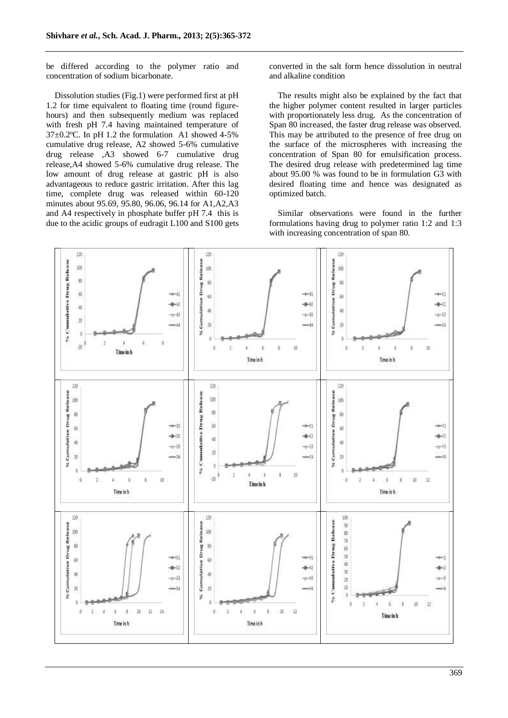be differed according to the polymer ratio and concentration of sodium bicarbonate.

Dissolution studies (Fig.1) were performed first at pH 1.2 for time equivalent to floating time (round figurehours) and then subsequently medium was replaced with fresh pH 7.4 having maintained temperature of 37±0.2ºC. In pH 1.2 the formulation A1 showed 4-5% cumulative drug release, A2 showed 5-6% cumulative drug release ,A3 showed 6-7 cumulative drug release,A4 showed 5-6% cumulative drug release. The low amount of drug release at gastric pH is also advantageous to reduce gastric irritation. After this lag time, complete drug was released within 60-120 minutes about 95.69, 95.80, 96.06, 96.14 for A1,A2,A3 and A4 respectively in phosphate buffer pH 7.4 this is due to the acidic groups of eudragit L100 and S100 gets converted in the salt form hence dissolution in neutral and alkaline condition

The results might also be explained by the fact that the higher polymer content resulted in larger particles with proportionately less drug. As the concentration of Span 80 increased, the faster drug release was observed. This may be attributed to the presence of free drug on the surface of the microspheres with increasing the concentration of Span 80 for emulsification process. The desired drug release with predetermined lag time about 95.00 % was found to be in formulation G3 with desired floating time and hence was designated as optimized batch.

Similar observations were found in the further formulations having drug to polymer ratio 1:2 and 1:3 with increasing concentration of span 80.

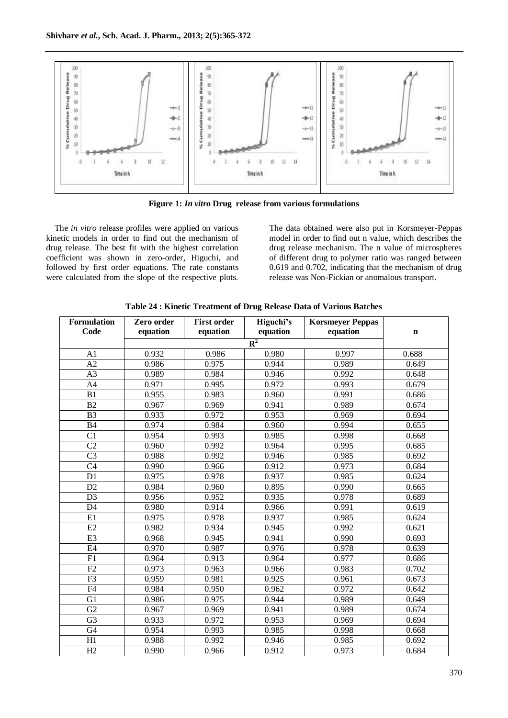

**Figure 1:** *In vitro* **Drug release from various formulations**

The *in vitro* release profiles were applied on various kinetic models in order to find out the mechanism of drug release. The best fit with the highest correlation coefficient was shown in zero-order, Higuchi, and followed by first order equations. The rate constants were calculated from the slope of the respective plots.

The data obtained were also put in Korsmeyer-Peppas model in order to find out n value, which describes the drug release mechanism. The n value of microspheres of different drug to polymer ratio was ranged between 0.619 and 0.702, indicating that the mechanism of drug release was Non-Fickian or anomalous transport.

| Formulation     | Zero order | <b>First order</b><br>equation | Higuchi's<br>equation | <b>Korsmeyer Peppas</b><br>equation |       |
|-----------------|------------|--------------------------------|-----------------------|-------------------------------------|-------|
| Code            | equation   | $\mathbf n$                    |                       |                                     |       |
|                 |            |                                |                       |                                     |       |
| A <sub>1</sub>  | 0.932      | 0.986                          | 0.980                 | 0.997                               | 0.688 |
| A2              | 0.986      | 0.975                          | 0.944                 | 0.989                               | 0.649 |
| A3              | 0.989      | 0.984                          | 0.946                 | 0.992                               | 0.648 |
| A4              | 0.971      | 0.995                          | 0.972                 | 0.993                               | 0.679 |
| B1              | 0.955      | 0.983                          | 0.960                 | 0.991                               | 0.686 |
| B2              | 0.967      | 0.969                          | 0.941                 | 0.989                               | 0.674 |
| B <sub>3</sub>  | 0.933      | 0.972                          | 0.953                 | 0.969                               | 0.694 |
| B4              | 0.974      | 0.984                          | 0.960                 | 0.994                               | 0.655 |
| C <sub>1</sub>  | 0.954      | 0.993                          | 0.985                 | 0.998                               | 0.668 |
| C <sub>2</sub>  | 0.960      | 0.992                          | 0.964                 | 0.995                               | 0.685 |
| C <sub>3</sub>  | 0.988      | 0.992                          | 0.946                 | 0.985                               | 0.692 |
| C <sub>4</sub>  | 0.990      | 0.966                          | 0.912                 | 0.973                               | 0.684 |
| D1              | 0.975      | 0.978                          | 0.937                 | 0.985                               | 0.624 |
| D2              | 0.984      | 0.960                          | 0.895                 | 0.990                               | 0.665 |
| D <sub>3</sub>  | 0.956      | 0.952                          | 0.935                 | 0.978                               | 0.689 |
| D <sub>4</sub>  | 0.980      | 0.914                          | 0.966                 | 0.991                               | 0.619 |
| E1              | 0.975      | 0.978                          | 0.937                 | 0.985                               | 0.624 |
| E2              | 0.982      | 0.934                          | 0.945                 | 0.992                               | 0.621 |
| E3              | 0.968      | 0.945                          | 0.941                 | 0.990                               | 0.693 |
| E4              | 0.970      | 0.987                          | 0.976                 | 0.978                               | 0.639 |
| $\overline{F1}$ | 0.964      | 0.913                          | 0.964                 | 0.977                               | 0.686 |
| F2              | 0.973      | 0.963                          | 0.966                 | 0.983                               | 0.702 |
| $\overline{F3}$ | 0.959      | 0.981                          | 0.925                 | 0.961                               | 0.673 |
| $\overline{F4}$ | 0.984      | 0.950                          | 0.962                 | 0.972                               | 0.642 |
| G1              | 0.986      | 0.975                          | 0.944                 | 0.989                               | 0.649 |
| G2              | 0.967      | 0.969                          | 0.941                 | 0.989                               | 0.674 |
| G <sub>3</sub>  | 0.933      | 0.972                          | 0.953                 | 0.969                               | 0.694 |
| $\overline{G4}$ | 0.954      | 0.993                          | 0.985                 | 0.998                               | 0.668 |
| $\overline{H1}$ | 0.988      | 0.992                          | 0.946                 | 0.985                               | 0.692 |
| $\overline{H2}$ | 0.990      | 0.966                          | 0.912                 | 0.973                               | 0.684 |

**Table 24 : Kinetic Treatment of Drug Release Data of Various Batches**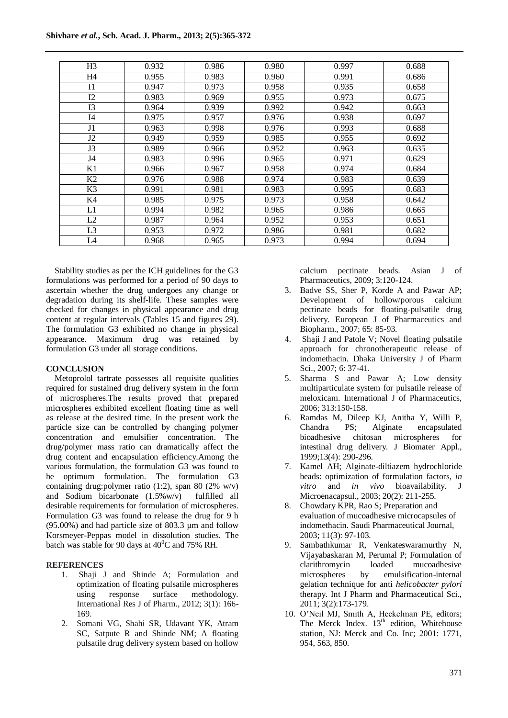| H <sub>3</sub> | 0.932 | 0.986 | 0.980 | 0.997 | 0.688 |
|----------------|-------|-------|-------|-------|-------|
| H <sub>4</sub> | 0.955 | 0.983 | 0.960 | 0.991 | 0.686 |
| I <sub>1</sub> | 0.947 | 0.973 | 0.958 | 0.935 | 0.658 |
| 12             | 0.983 | 0.969 | 0.955 | 0.973 | 0.675 |
| I3             | 0.964 | 0.939 | 0.992 | 0.942 | 0.663 |
| I4             | 0.975 | 0.957 | 0.976 | 0.938 | 0.697 |
| J <sub>1</sub> | 0.963 | 0.998 | 0.976 | 0.993 | 0.688 |
| J2             | 0.949 | 0.959 | 0.985 | 0.955 | 0.692 |
| J3             | 0.989 | 0.966 | 0.952 | 0.963 | 0.635 |
| J4             | 0.983 | 0.996 | 0.965 | 0.971 | 0.629 |
| K1             | 0.966 | 0.967 | 0.958 | 0.974 | 0.684 |
| K <sub>2</sub> | 0.976 | 0.988 | 0.974 | 0.983 | 0.639 |
| K3             | 0.991 | 0.981 | 0.983 | 0.995 | 0.683 |
| K4             | 0.985 | 0.975 | 0.973 | 0.958 | 0.642 |
| L1             | 0.994 | 0.982 | 0.965 | 0.986 | 0.665 |
| L2             | 0.987 | 0.964 | 0.952 | 0.953 | 0.651 |
| L <sub>3</sub> | 0.953 | 0.972 | 0.986 | 0.981 | 0.682 |
| L4             | 0.968 | 0.965 | 0.973 | 0.994 | 0.694 |

Stability studies as per the ICH guidelines for the G3 formulations was performed for a period of 90 days to ascertain whether the drug undergoes any change or degradation during its shelf-life. These samples were checked for changes in physical appearance and drug content at regular intervals (Tables 15 and figures 29). The formulation G3 exhibited no change in physical appearance. Maximum drug was retained by formulation G3 under all storage conditions.

## **CONCLUSION**

Metoprolol tartrate possesses all requisite qualities required for sustained drug delivery system in the form of microspheres.The results proved that prepared microspheres exhibited excellent floating time as well as release at the desired time. In the present work the particle size can be controlled by changing polymer concentration and emulsifier concentration. The drug/polymer mass ratio can dramatically affect the drug content and encapsulation efficiency.Among the various formulation, the formulation G3 was found to be optimum formulation. The formulation G3 containing drug:polymer ratio (1:2), span 80 (2% w/v) and Sodium bicarbonate (1.5%w/v) fulfilled all desirable requirements for formulation of microspheres. Formulation G3 was found to release the drug for 9 h (95.00%) and had particle size of 803.3 µm and follow Korsmeyer-Peppas model in dissolution studies. The batch was stable for 90 days at  $40^{\circ}$ C and 75% RH.

## **REFERENCES**

- 1. Shaji J and Shinde A; Formulation and optimization of floating pulsatile microspheres<br>using response surface methodology. response surface methodology. International Res J of Pharm., 2012; 3(1): 166- 169.
- 2. Somani VG, Shahi SR, Udavant YK, Atram SC, Satpute R and Shinde NM; A floating pulsatile drug delivery system based on hollow

calcium pectinate beads. Asian J of Pharmaceutics, 2009; 3:120-124.

- 3. Badve SS, Sher P, Korde A and Pawar AP; Development of hollow/porous calcium pectinate beads for floating-pulsatile drug delivery. European J of Pharmaceutics and Biopharm., 2007; 65: 85-93.
- 4. Shaji J and Patole V; Novel floating pulsatile approach for chronotherapeutic release of indomethacin. Dhaka University J of Pharm Sci., 2007; 6: 37-41.
- 5. Sharma S and Pawar A; Low density multiparticulate system for pulsatile release of meloxicam. International J of Pharmaceutics, 2006; 313:150-158.
- 6. Ramdas M, Dileep KJ, Anitha Y, Willi P, Chandra PS; Alginate encapsulated bioadhesive chitosan microspheres for intestinal drug delivery*.* J Biomater Appl., 1999;13(4): 290-296.
- 7. Kamel AH; Alginate-diltiazem hydrochloride beads: optimization of formulation factors, *in vitro* and *in vivo* bioavailability. J Microenacapsul., 2003; 20(2): 211-255.
- 8. Chowdary KPR, Rao S; Preparation and evaluation of mucoadhesive microcapsules of indomethacin. Saudi Pharmaceutical Journal, 2003; 11(3): 97-103.
- 9. Sambathkumar R, Venkateswaramurthy N, Vijayabaskaran M, Perumal P; Formulation of clarithromycin loaded mucoadhesive microspheres by emulsification-internal gelation technique for anti *helicobacter pylori*  therapy. Int J Pharm and Pharmaceutical Sci., 2011; 3(2):173-179.
- 10. O'Neil MJ, Smith A, Heckelman PE, editors; The Merck Index.  $13<sup>th</sup>$  edition, Whitehouse station, NJ: Merck and Co. Inc; 2001: 1771, 954, 563, 850.